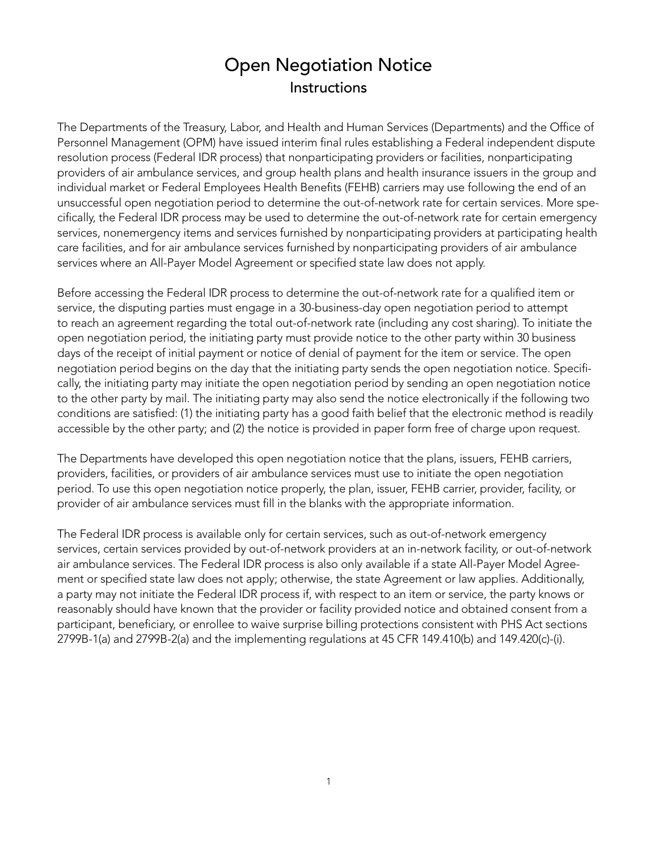# Open Negotiation Notice Instructions

The Departments of the Treasury, Labor, and Health and Human Services (Departments) and the Office of Personnel Management (OPM) have issued interim final rules establishing a Federal independent dispute resolution process (Federal IDR process) that nonparticipating providers or facilities, nonparticipating providers of air ambulance services, and group health plans and health insurance issuers in the group and individual market or Federal Employees Health Benefits (FEHB) carriers may use following the end of an unsuccessful open negotiation period to determine the out-of-network rate for certain services. More specifically, the Federal IDR process may be used to determine the out-of-network rate for certain emergency services, nonemergency items and services furnished by nonparticipating providers at participating health care facilities, and for air ambulance services furnished by nonparticipating providers of air ambulance services where an All-Payer Model Agreement or specified state law does not apply.

Before accessing the Federal IDR process to determine the out-of-network rate for a qualified item or service, the disputing parties must engage in a 30-business-day open negotiation period to attempt to reach an agreement regarding the total out-of-network rate (including any cost sharing). To initiate the open negotiation period, the initiating party must provide notice to the other party within 30 business days of the receipt of initial payment or notice of denial of payment for the item or service. The open negotiation period begins on the day that the initiating party sends the open negotiation notice. Specifically, the initiating party may initiate the open negotiation period by sending an open negotiation notice to the other party by mail. The initiating party may also send the notice electronically if the following two conditions are satisfied: (1) the initiating party has a good faith belief that the electronic method is readily accessible by the other party; and (2) the notice is provided in paper form free of charge upon request.

The Departments have developed this open negotiation notice that the plans, issuers, FEHB carriers, providers, facilities, or providers of air ambulance services must use to initiate the open negotiation period. To use this open negotiation notice properly, the plan, issuer, FEHB carrier, provider, facility, or provider of air ambulance services must fill in the blanks with the appropriate information.

The Federal IDR process is available only for certain services, such as out-of-network emergency services, certain services provided by out-of-network providers at an in-network facility, or out-of-network air ambulance services. The Federal IDR process is also only available if a state All-Payer Model Agreement or specified state law does not apply; otherwise, the state Agreement or law applies. Additionally, a party may not initiate the Federal IDR process if, with respect to an item or service, the party knows or reasonably should have known that the provider or facility provided notice and obtained consent from a participant, beneficiary, or enrollee to waive surprise billing protections consistent with PHS Act sections 2799B-1(a) and 2799B-2(a) and the implementing regulations at 45 CFR 149.410(b) and 149.420(c)-(i).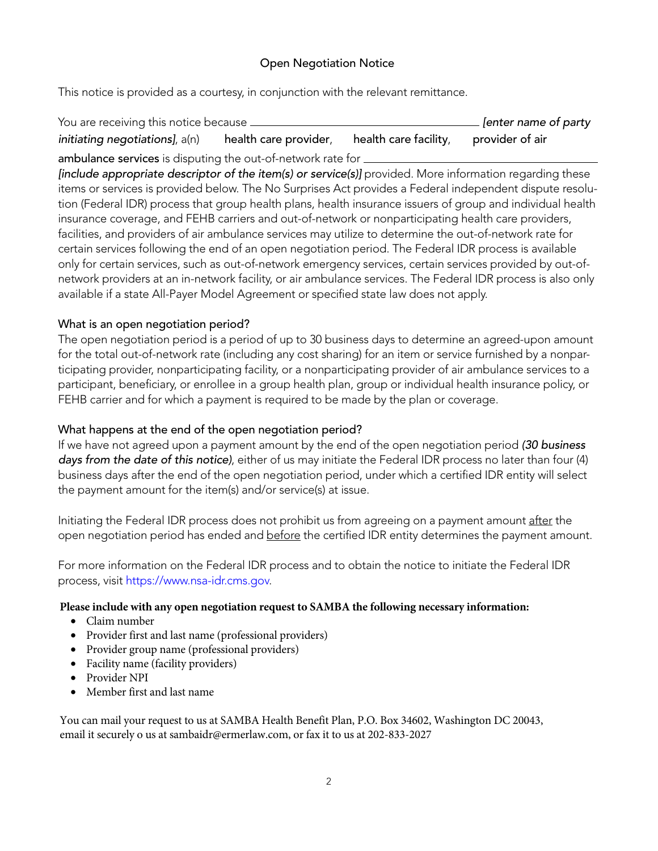#### Open Negotiation Notice

| This notice is provided as a courtesy, in conjunction with the relevant remittance. |                       |                       |                      |  |  |  |  |
|-------------------------------------------------------------------------------------|-----------------------|-----------------------|----------------------|--|--|--|--|
| You are receiving this notice because.                                              |                       |                       | [enter name of party |  |  |  |  |
| initiating negotiations], a(n)                                                      | health care provider, | health care facility, | provider of air      |  |  |  |  |

ambulance services is disputing the out-of-network rate for  $\equiv$ 

*[include appropriate descriptor of the item(s) or service(s) provided. More information regarding these* items or services is provided below. The No Surprises Act provides a Federal independent dispute resolution (Federal IDR) process that group health plans, health insurance issuers of group and individual health insurance coverage, and FEHB carriers and out-of-network or nonparticipating health care providers, facilities, and providers of air ambulance services may utilize to determine the out-of-network rate for certain services following the end of an open negotiation period. The Federal IDR process is available only for certain services, such as out-of-network emergency services, certain services provided by out-ofnetwork providers at an in-network facility, or air ambulance services. The Federal IDR process is also only available if a state All-Payer Model Agreement or specified state law does not apply.

#### What is an open negotiation period?

The open negotiation period is a period of up to 30 business days to determine an agreed-upon amount for the total out-of-network rate (including any cost sharing) for an item or service furnished by a nonparticipating provider, nonparticipating facility, or a nonparticipating provider of air ambulance services to a participant, beneficiary, or enrollee in a group health plan, group or individual health insurance policy, or FEHB carrier and for which a payment is required to be made by the plan or coverage.

### What happens at the end of the open negotiation period?

If we have not agreed upon a payment amount by the end of the open negotiation period *(30 business days from the date of this notice)*, either of us may initiate the Federal IDR process no later than four (4) business days after the end of the open negotiation period, under which a certified IDR entity will select the payment amount for the item(s) and/or service(s) at issue.

Initiating the Federal IDR process does not prohibit us from agreeing on a payment amount after the open negotiation period has ended and before the certified IDR entity determines the payment amount.

For more information on the Federal IDR process and to obtain the notice to initiate the Federal IDR process, visit [https://www.nsa-idr.cms.gov.](https://www.nsa-idr.cms.gov)

#### Please include with any open negotiation request to SAMBA the following necessary information:

- $\bullet$  Claim number
- Provider first and last name (professional providers)
- Provider group name (professional providers)
- Facility name (facility providers)
- Provider NPI
- Member first and last name

You can mail your request to us at SAMBA Health Benefit Plan, P.O. Box 34602, Washington DC 20043, email it securely o us at sambaidr@ermerlaw.com, or fax it to us at 202-833-2027